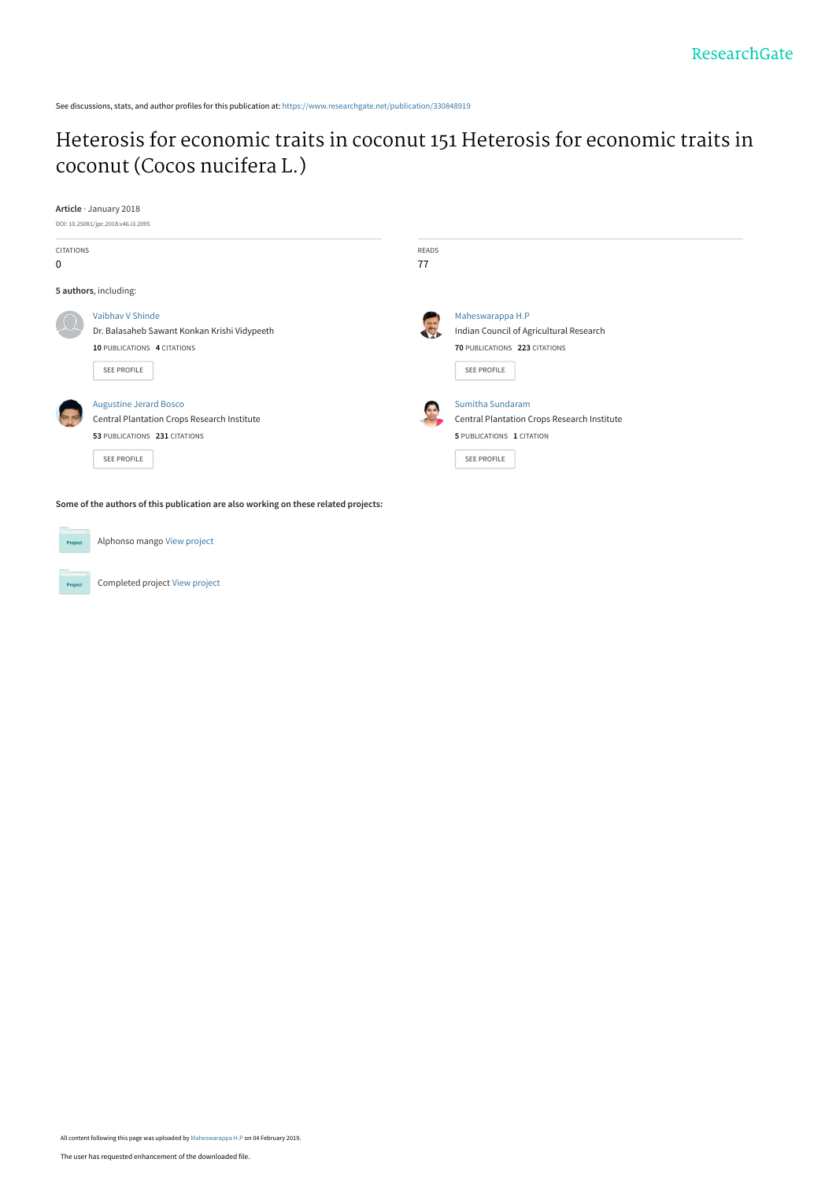See discussions, stats, and author profiles for this publication at: [https://www.researchgate.net/publication/330848919](https://www.researchgate.net/publication/330848919_Heterosis_for_economic_traits_in_coconut_151_Heterosis_for_economic_traits_in_coconut_Cocos_nucifera_L?enrichId=rgreq-02799e46abbe171cd85bfdacca432e9a-XXX&enrichSource=Y292ZXJQYWdlOzMzMDg0ODkxOTtBUzo3MjI1NDY3OTQxOTI5MDdAMTU0OTI3OTk4ODgyMA%3D%3D&el=1_x_2&_esc=publicationCoverPdf)

# [Heterosis for economic traits in coconut 151 Heterosis for economic traits in](https://www.researchgate.net/publication/330848919_Heterosis_for_economic_traits_in_coconut_151_Heterosis_for_economic_traits_in_coconut_Cocos_nucifera_L?enrichId=rgreq-02799e46abbe171cd85bfdacca432e9a-XXX&enrichSource=Y292ZXJQYWdlOzMzMDg0ODkxOTtBUzo3MjI1NDY3OTQxOTI5MDdAMTU0OTI3OTk4ODgyMA%3D%3D&el=1_x_3&_esc=publicationCoverPdf) coconut (Cocos nucifera L.)

| Article · January 2018<br>DOI: 10.25081/jpc.2018.v46.i3.2095 |                                                                                                                                     |                |                                                                                                                           |  |
|--------------------------------------------------------------|-------------------------------------------------------------------------------------------------------------------------------------|----------------|---------------------------------------------------------------------------------------------------------------------------|--|
| <b>CITATIONS</b><br>0                                        |                                                                                                                                     | READS<br>77    |                                                                                                                           |  |
|                                                              | 5 authors, including:                                                                                                               |                |                                                                                                                           |  |
|                                                              | Vaibhay V Shinde<br>Dr. Balasaheb Sawant Konkan Krishi Vidypeeth<br>10 PUBLICATIONS 4 CITATIONS<br>SEE PROFILE                      | $\overline{z}$ | Maheswarappa H.P<br>Indian Council of Agricultural Research<br>70 PUBLICATIONS 223 CITATIONS<br>SEE PROFILE               |  |
|                                                              | <b>Augustine Jerard Bosco</b><br><b>Central Plantation Crops Research Institute</b><br>53 PUBLICATIONS 231 CITATIONS<br>SEE PROFILE |                | Sumitha Sundaram<br><b>Central Plantation Crops Research Institute</b><br>5 PUBLICATIONS 1 CITATION<br><b>SEE PROFILE</b> |  |
|                                                              | Some of the authors of this publication are also working on these related projects:                                                 |                |                                                                                                                           |  |
| Project                                                      | Alphonso mango View project                                                                                                         |                |                                                                                                                           |  |

Completed project [View project](https://www.researchgate.net/project/Completed-project-5?enrichId=rgreq-02799e46abbe171cd85bfdacca432e9a-XXX&enrichSource=Y292ZXJQYWdlOzMzMDg0ODkxOTtBUzo3MjI1NDY3OTQxOTI5MDdAMTU0OTI3OTk4ODgyMA%3D%3D&el=1_x_9&_esc=publicationCoverPdf)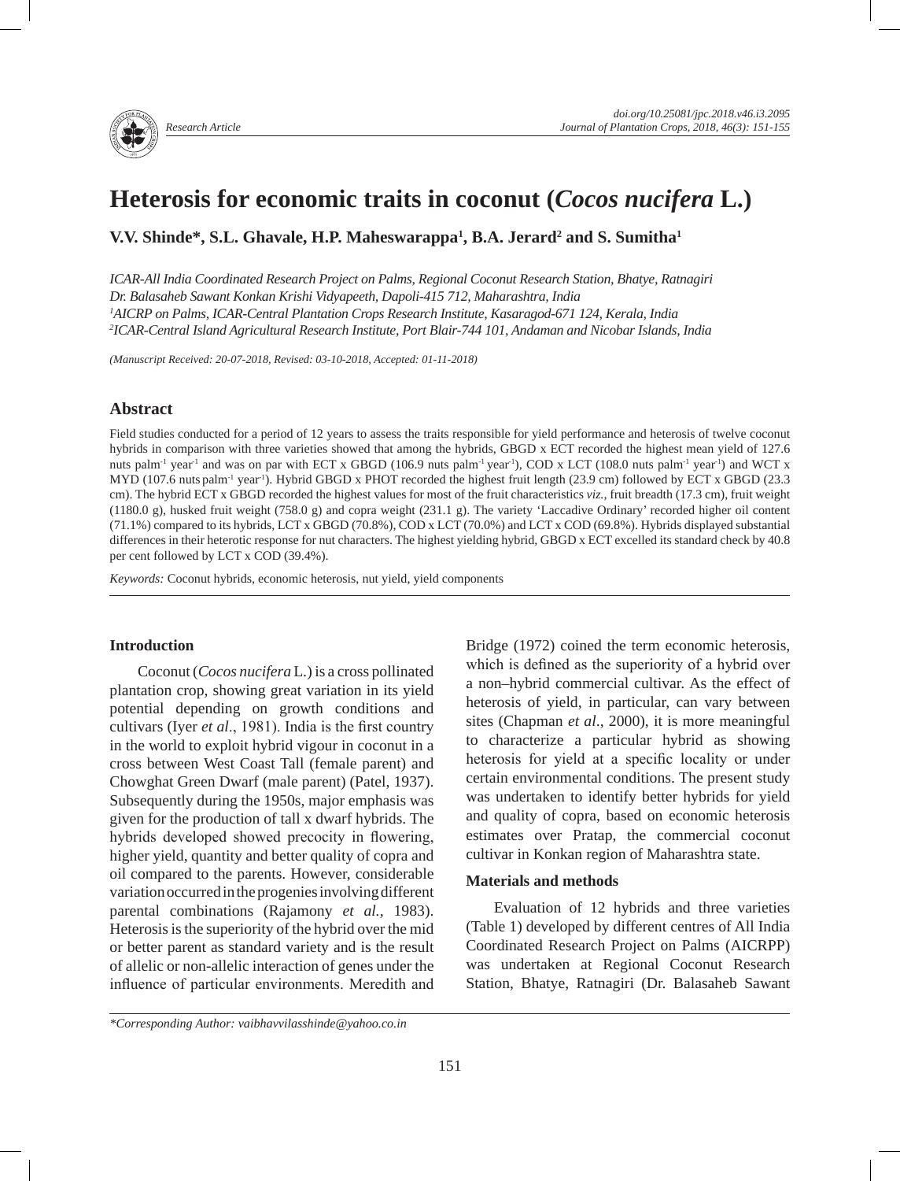# **Heterosis for economic traits in coconut (***Cocos nucifera* **L.)**

**V.V. Shinde\*, S.L. Ghavale, H.P. Maheswarappa<sup>1</sup>, B.A. Jerard<sup>2</sup> and S. Sumitha<sup>1</sup>** 

*ICAR-All India Coordinated Research Project on Palms, Regional Coconut Research Station, Bhatye, Ratnagiri Dr. Balasaheb Sawant Konkan Krishi Vidyapeeth, Dapoli-415 712, Maharashtra, India 1 AICRP on Palms, ICAR-Central Plantation Crops Research Institute, Kasaragod-671 124, Kerala, India 2 ICAR-Central Island Agricultural Research Institute, Port Blair-744 101, Andaman and Nicobar Islands, India*

*(Manuscript Received: 20-07-2018, Revised: 03-10-2018, Accepted: 01-11-2018)*

# **Abstract**

Field studies conducted for a period of 12 years to assess the traits responsible for yield performance and heterosis of twelve coconut hybrids in comparison with three varieties showed that among the hybrids, GBGD x ECT recorded the highest mean yield of 127.6 nuts palm<sup>-1</sup> year<sup>-1</sup> and was on par with ECT x GBGD (106.9 nuts palm<sup>-1</sup> year<sup>-1</sup>), COD x LCT (108.0 nuts palm<sup>-1</sup> year<sup>-1</sup>) and WCT x MYD (107.6 nuts palm<sup>-1</sup> year<sup>-1</sup>). Hybrid GBGD x PHOT recorded the highest fruit length (23.9 cm) followed by ECT x GBGD (23.3 cm). The hybrid ECT x GBGD recorded the highest values for most of the fruit characteristics *viz.*, fruit breadth (17.3 cm), fruit weight (1180.0 g), husked fruit weight (758.0 g) and copra weight (231.1 g). The variety 'Laccadive Ordinary' recorded higher oil content (71.1%) compared to its hybrids, LCT x GBGD (70.8%), COD x LCT (70.0%) and LCT x COD (69.8%). Hybrids displayed substantial differences in their heterotic response for nut characters. The highest yielding hybrid, GBGD x ECT excelled its standard check by 40.8 per cent followed by LCT x COD (39.4%).

*Keywords:* Coconut hybrids, economic heterosis, nut yield, yield components

# **Introduction**

Coconut (*Cocos nucifera* L*.*) is a cross pollinated plantation crop, showing great variation in its yield potential depending on growth conditions and cultivars (Iyer *et al*., 1981). India is the first country in the world to exploit hybrid vigour in coconut in a cross between West Coast Tall (female parent) and Chowghat Green Dwarf (male parent) (Patel, 1937). Subsequently during the 1950s, major emphasis was given for the production of tall x dwarf hybrids. The hybrids developed showed precocity in flowering, higher yield, quantity and better quality of copra and oil compared to the parents. However, considerable variation occurred in the progenies involving different parental combinations (Rajamony *et al.,* 1983). Heterosis is the superiority of the hybrid over the mid or better parent as standard variety and is the result of allelic or non-allelic interaction of genes under the influence of particular environments. Meredith and Bridge (1972) coined the term economic heterosis, which is defined as the superiority of a hybrid over a non–hybrid commercial cultivar. As the effect of heterosis of yield, in particular, can vary between sites (Chapman *et al*., 2000), it is more meaningful to characterize a particular hybrid as showing heterosis for yield at a specific locality or under certain environmental conditions. The present study was undertaken to identify better hybrids for yield and quality of copra, based on economic heterosis estimates over Pratap, the commercial coconut cultivar in Konkan region of Maharashtra state.

## **Materials and methods**

Evaluation of 12 hybrids and three varieties (Table 1) developed by different centres of All India Coordinated Research Project on Palms (AICRPP) was undertaken at Regional Coconut Research Station, Bhatye, Ratnagiri (Dr. Balasaheb Sawant

*<sup>\*</sup>Corresponding Author: vaibhavvilasshinde@yahoo.co.in*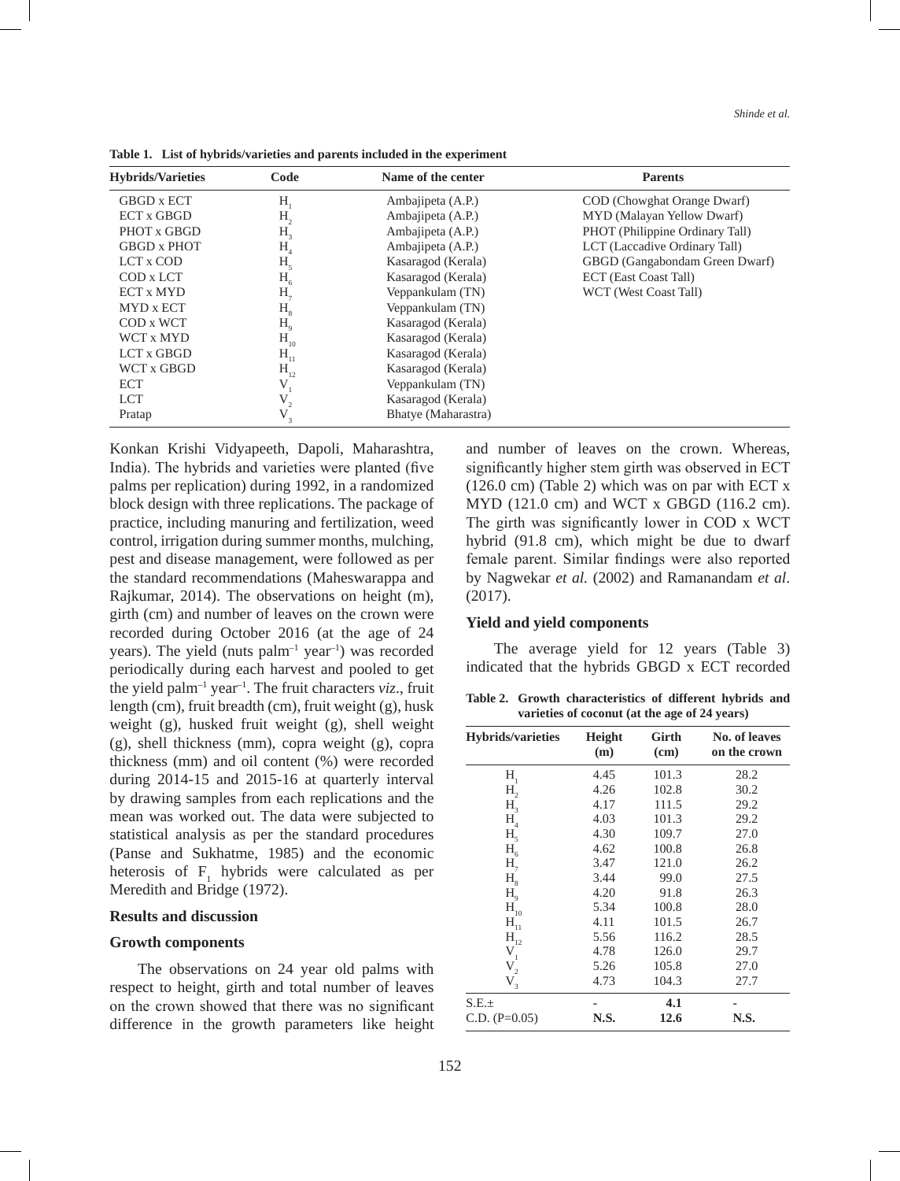| <b>Hybrids/Varieties</b> | Code              | Name of the center  | <b>Parents</b>                  |
|--------------------------|-------------------|---------------------|---------------------------------|
| GBGD x ECT               | $H_{1}$           | Ambajipeta (A.P.)   | COD (Chowghat Orange Dwarf)     |
| <b>ECT x GBGD</b>        | H <sub>2</sub>    | Ambajipeta (A.P.)   | MYD (Malayan Yellow Dwarf)      |
| PHOT x GBGD              | H <sub>3</sub>    | Ambajipeta (A.P.)   | PHOT (Philippine Ordinary Tall) |
| <b>GBGD x PHOT</b>       | H <sub>4</sub>    | Ambajipeta (A.P.)   | LCT (Laccadive Ordinary Tall)   |
| LCT x COD                | H <sub>5</sub>    | Kasaragod (Kerala)  | GBGD (Gangabondam Green Dwarf)  |
| COD x LCT                | $H_6$             | Kasaragod (Kerala)  | ECT (East Coast Tall)           |
| <b>ECT x MYD</b>         | $H_{7}$           | Veppankulam (TN)    | WCT (West Coast Tall)           |
| MYD x ECT                | H <sub>8</sub>    | Veppankulam (TN)    |                                 |
| COD x WCT                | H <sub>9</sub>    | Kasaragod (Kerala)  |                                 |
| WCT x MYD                | $H_{10}$          | Kasaragod (Kerala)  |                                 |
| LCT x GBGD               | $H_{11}$          | Kasaragod (Kerala)  |                                 |
| WCT x GBGD               | $H_{12}$          | Kasaragod (Kerala)  |                                 |
| <b>ECT</b>               | V                 | Veppankulam (TN)    |                                 |
| <b>LCT</b>               | $\mathbf{V}_{_2}$ | Kasaragod (Kerala)  |                                 |
| Pratap                   | $V_{3}$           | Bhatye (Maharastra) |                                 |

**Table 1. List of hybrids/varieties and parents included in the experiment**

Konkan Krishi Vidyapeeth, Dapoli, Maharashtra, India). The hybrids and varieties were planted (five palms per replication) during 1992, in a randomized block design with three replications. The package of practice, including manuring and fertilization, weed control, irrigation during summer months, mulching, pest and disease management, were followed as per the standard recommendations (Maheswarappa and Rajkumar, 2014). The observations on height (m), girth (cm) and number of leaves on the crown were recorded during October 2016 (at the age of 24 years). The yield (nuts  $palm^{-1}$  year<sup>-1</sup>) was recorded periodically during each harvest and pooled to get the yield palm–1 year–1. The fruit characters *viz*., fruit length (cm), fruit breadth (cm), fruit weight (g), husk weight (g), husked fruit weight (g), shell weight (g), shell thickness (mm), copra weight (g), copra thickness (mm) and oil content (%) were recorded during 2014-15 and 2015-16 at quarterly interval by drawing samples from each replications and the mean was worked out. The data were subjected to statistical analysis as per the standard procedures (Panse and Sukhatme, 1985) and the economic heterosis of  $F_1$  hybrids were calculated as per Meredith and Bridge (1972).

#### **Results and discussion**

#### **Growth components**

The observations on 24 year old palms with respect to height, girth and total number of leaves on the crown showed that there was no significant difference in the growth parameters like height and number of leaves on the crown. Whereas, significantly higher stem girth was observed in ECT (126.0 cm) (Table 2) which was on par with ECT x MYD (121.0 cm) and WCT x GBGD (116.2 cm). The girth was significantly lower in COD x WCT hybrid (91.8 cm), which might be due to dwarf female parent. Similar findings were also reported by Nagwekar *et al.* (2002) and Ramanandam *et al*. (2017).

#### **Yield and yield components**

The average yield for 12 years (Table 3) indicated that the hybrids GBGD x ECT recorded

**Table 2. Growth characteristics of different hybrids and varieties of coconut (at the age of 24 years)**

| <b>Hybrids/varieties</b>              | Height<br>(m) | Girth<br>(cm) | No. of leaves<br>on the crown |
|---------------------------------------|---------------|---------------|-------------------------------|
| $H_{1}$                               | 4.45          | 101.3         | 28.2                          |
| Н,                                    | 4.26          | 102.8         | 30.2                          |
| H <sub>3</sub>                        | 4.17          | 111.5         | 29.2                          |
| H <sub>4</sub>                        | 4.03          | 101.3         | 29.2                          |
| H <sub>5</sub>                        | 4.30          | 109.7         | 27.0                          |
| $H_6$                                 | 4.62          | 100.8         | 26.8                          |
| $H_{7}$                               | 3.47          | 121.0         | 26.2                          |
| H <sub>8</sub>                        | 3.44          | 99.0          | 27.5                          |
| H <sub>9</sub>                        | 4.20          | 91.8          | 26.3                          |
| $\mathbf{H}_{\scriptscriptstyle{10}}$ | 5.34          | 100.8         | 28.0                          |
| $\mathbf{H}_{\scriptscriptstyle{11}}$ | 4.11          | 101.5         | 26.7                          |
| $H_{12}$                              | 5.56          | 116.2         | 28.5                          |
| $V_{1}$                               | 4.78          | 126.0         | 29.7                          |
| $V_{2}$                               | 5.26          | 105.8         | 27.0                          |
| $V_{3}$                               | 4.73          | 104.3         | 27.7                          |
| S.E.±                                 |               | 4.1           |                               |
| $C.D. (P=0.05)$                       | N.S.          | 12.6          | N.S.                          |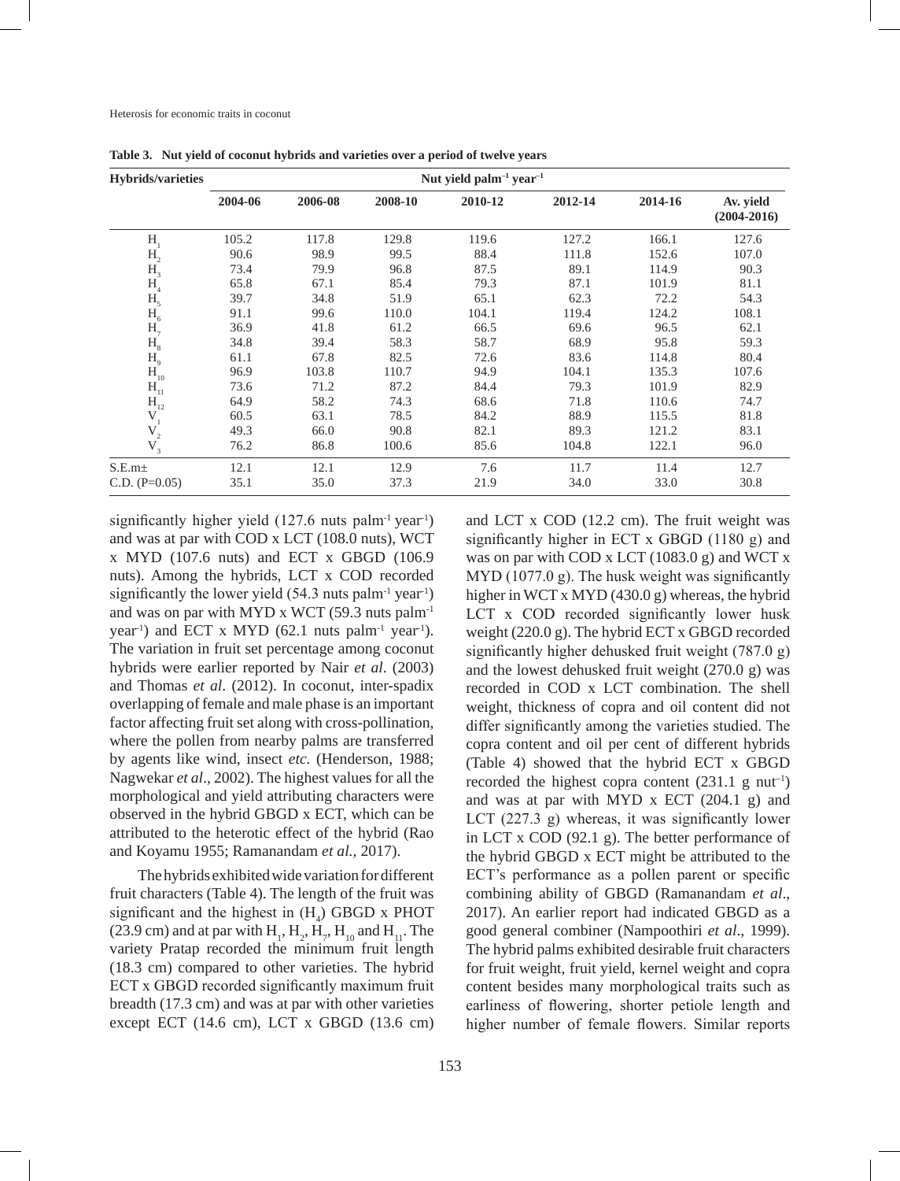| <b>Hybrids/varieties</b>                   | Nut yield palm <sup>-1</sup> year <sup>-1</sup> |         |         |         |         |         |                              |  |  |
|--------------------------------------------|-------------------------------------------------|---------|---------|---------|---------|---------|------------------------------|--|--|
|                                            | 2004-06                                         | 2006-08 | 2008-10 | 2010-12 | 2012-14 | 2014-16 | Av. yield<br>$(2004 - 2016)$ |  |  |
| H                                          | 105.2                                           | 117.8   | 129.8   | 119.6   | 127.2   | 166.1   | 127.6                        |  |  |
| H <sub>2</sub>                             | 90.6                                            | 98.9    | 99.5    | 88.4    | 111.8   | 152.6   | 107.0                        |  |  |
|                                            | 73.4                                            | 79.9    | 96.8    | 87.5    | 89.1    | 114.9   | 90.3                         |  |  |
| $H_3$ <sub>4</sub>                         | 65.8                                            | 67.1    | 85.4    | 79.3    | 87.1    | 101.9   | 81.1                         |  |  |
|                                            | 39.7                                            | 34.8    | 51.9    | 65.1    | 62.3    | 72.2    | 54.3                         |  |  |
| $\begin{array}{c}\nH_5\\ H_6\n\end{array}$ | 91.1                                            | 99.6    | 110.0   | 104.1   | 119.4   | 124.2   | 108.1                        |  |  |
| $H_7$                                      | 36.9                                            | 41.8    | 61.2    | 66.5    | 69.6    | 96.5    | 62.1                         |  |  |
|                                            | 34.8                                            | 39.4    | 58.3    | 58.7    | 68.9    | 95.8    | 59.3                         |  |  |
| $H_8$ <sub>B</sub>                         | 61.1                                            | 67.8    | 82.5    | 72.6    | 83.6    | 114.8   | 80.4                         |  |  |
| $H_{10}$                                   | 96.9                                            | 103.8   | 110.7   | 94.9    | 104.1   | 135.3   | 107.6                        |  |  |
| $H_{11}$                                   | 73.6                                            | 71.2    | 87.2    | 84.4    | 79.3    | 101.9   | 82.9                         |  |  |
| $H_{12}$                                   | 64.9                                            | 58.2    | 74.3    | 68.6    | 71.8    | 110.6   | 74.7                         |  |  |
| $V_{1}$                                    | 60.5                                            | 63.1    | 78.5    | 84.2    | 88.9    | 115.5   | 81.8                         |  |  |
| $\mathbf{V}_{_2}$                          | 49.3                                            | 66.0    | 90.8    | 82.1    | 89.3    | 121.2   | 83.1                         |  |  |
| $V_{3}$                                    | 76.2                                            | 86.8    | 100.6   | 85.6    | 104.8   | 122.1   | 96.0                         |  |  |
| S.E.m <sub>±</sub>                         | 12.1                                            | 12.1    | 12.9    | 7.6     | 11.7    | 11.4    | 12.7                         |  |  |
| $C.D. (P=0.05)$                            | 35.1                                            | 35.0    | 37.3    | 21.9    | 34.0    | 33.0    | 30.8                         |  |  |

**Table 3. Nut yield of coconut hybrids and varieties over a period of twelve years**

significantly higher yield  $(127.6 \text{ nuts palm}^{-1} \text{ year}^{-1})$ and was at par with COD x LCT (108.0 nuts), WCT x MYD (107.6 nuts) and ECT x GBGD (106.9 nuts). Among the hybrids, LCT x COD recorded significantly the lower yield  $(54.3 \text{ nuts palm}^{-1} \text{ year}^{-1})$ and was on par with MYD x WCT (59.3 nuts palm<sup>-1</sup> year<sup>-1</sup>) and ECT x MYD (62.1 nuts palm<sup>-1</sup> year<sup>-1</sup>). The variation in fruit set percentage among coconut hybrids were earlier reported by Nair *et al*. (2003) and Thomas *et al*. (2012). In coconut, inter-spadix overlapping of female and male phase is an important factor affecting fruit set along with cross-pollination, where the pollen from nearby palms are transferred by agents like wind, insect *etc.* (Henderson, 1988; Nagwekar *et al*., 2002). The highest values for all the morphological and yield attributing characters were observed in the hybrid GBGD x ECT, which can be attributed to the heterotic effect of the hybrid (Rao and Koyamu 1955; Ramanandam *et al.,* 2017).

The hybrids exhibited wide variation for different fruit characters (Table 4). The length of the fruit was significant and the highest in  $(H_4)$  GBGD x PHOT (23.9 cm) and at par with  $H_1, H_2, H_7, H_{10}$  and  $H_{11}$ . The variety Pratap recorded the minimum fruit length (18.3 cm) compared to other varieties. The hybrid ECT x GBGD recorded significantly maximum fruit breadth (17.3 cm) and was at par with other varieties except ECT (14.6 cm), LCT x GBGD (13.6 cm)

and LCT x COD (12.2 cm). The fruit weight was significantly higher in ECT x GBGD (1180 g) and was on par with COD x LCT  $(1083.0 g)$  and WCT x MYD (1077.0 g). The husk weight was significantly higher in WCT x MYD (430.0 g) whereas, the hybrid LCT x COD recorded significantly lower husk weight (220.0 g). The hybrid ECT x GBGD recorded significantly higher dehusked fruit weight (787.0 g) and the lowest dehusked fruit weight (270.0 g) was recorded in COD x LCT combination. The shell weight, thickness of copra and oil content did not differ significantly among the varieties studied. The copra content and oil per cent of different hybrids (Table 4) showed that the hybrid ECT x GBGD recorded the highest copra content  $(231.1 \text{ g } \text{nut}^{-1})$ and was at par with MYD x ECT (204.1 g) and LCT (227.3 g) whereas, it was significantly lower in LCT x COD (92.1 g). The better performance of the hybrid GBGD x ECT might be attributed to the ECT's performance as a pollen parent or specific combining ability of GBGD (Ramanandam *et al*., 2017). An earlier report had indicated GBGD as a good general combiner (Nampoothiri *et al*., 1999). The hybrid palms exhibited desirable fruit characters for fruit weight, fruit yield, kernel weight and copra content besides many morphological traits such as earliness of flowering, shorter petiole length and higher number of female flowers. Similar reports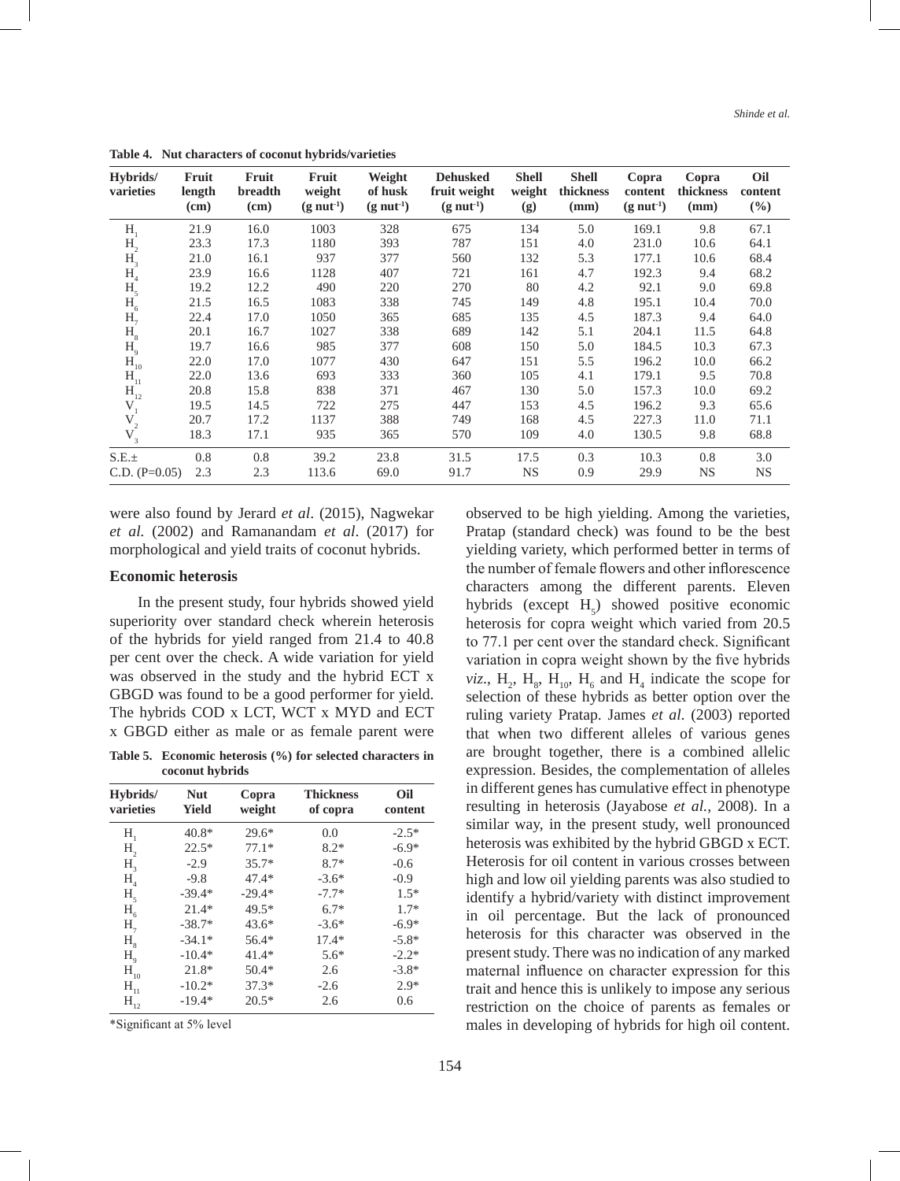| Hybrids/<br>varieties | Fruit<br>length<br>(cm) | Fruit<br>breadth<br>(cm) | Fruit<br>weight<br>$(g \text{ nut}^1)$ | Weight<br>of husk<br>$(g \text{ nut}^1)$ | <b>Dehusked</b><br>fruit weight<br>$(g \text{ nut}^{-1})$ | <b>Shell</b><br>weight<br>(g) | <b>Shell</b><br>thickness<br>(mm) | Copra<br>content<br>$(g \text{ nut}^1)$ | Copra<br>thickness<br>(mm) | Oil<br>content<br>$(\%)$ |
|-----------------------|-------------------------|--------------------------|----------------------------------------|------------------------------------------|-----------------------------------------------------------|-------------------------------|-----------------------------------|-----------------------------------------|----------------------------|--------------------------|
| H,                    | 21.9                    | 16.0                     | 1003                                   | 328                                      | 675                                                       | 134                           | 5.0                               | 169.1                                   | 9.8                        | 67.1                     |
| H <sub>2</sub>        | 23.3                    | 17.3                     | 1180                                   | 393                                      | 787                                                       | 151                           | 4.0                               | 231.0                                   | 10.6                       | 64.1                     |
| H <sub>3</sub>        | 21.0                    | 16.1                     | 937                                    | 377                                      | 560                                                       | 132                           | 5.3                               | 177.1                                   | 10.6                       | 68.4                     |
| $H_4$                 | 23.9                    | 16.6                     | 1128                                   | 407                                      | 721                                                       | 161                           | 4.7                               | 192.3                                   | 9.4                        | 68.2                     |
| $H_5$                 | 19.2                    | 12.2                     | 490                                    | 220                                      | 270                                                       | 80                            | 4.2                               | 92.1                                    | 9.0                        | 69.8                     |
| $H_6$                 | 21.5                    | 16.5                     | 1083                                   | 338                                      | 745                                                       | 149                           | 4.8                               | 195.1                                   | 10.4                       | 70.0                     |
| $H_{7}$               | 22.4                    | 17.0                     | 1050                                   | 365                                      | 685                                                       | 135                           | 4.5                               | 187.3                                   | 9.4                        | 64.0                     |
| H <sub>8</sub>        | 20.1                    | 16.7                     | 1027                                   | 338                                      | 689                                                       | 142                           | 5.1                               | 204.1                                   | 11.5                       | 64.8                     |
| $H_9$                 | 19.7                    | 16.6                     | 985                                    | 377                                      | 608                                                       | 150                           | 5.0                               | 184.5                                   | 10.3                       | 67.3                     |
| $H_{10}$              | 22.0                    | 17.0                     | 1077                                   | 430                                      | 647                                                       | 151                           | 5.5                               | 196.2                                   | 10.0                       | 66.2                     |
| $H_{11}$              | 22.0                    | 13.6                     | 693                                    | 333                                      | 360                                                       | 105                           | 4.1                               | 179.1                                   | 9.5                        | 70.8                     |
| $H_{12}^-$            | 20.8                    | 15.8                     | 838                                    | 371                                      | 467                                                       | 130                           | 5.0                               | 157.3                                   | 10.0                       | 69.2                     |
| $V_{1}$               | 19.5                    | 14.5                     | 722                                    | 275                                      | 447                                                       | 153                           | 4.5                               | 196.2                                   | 9.3                        | 65.6                     |
| $\mathbf{V}_{_2}$     | 20.7                    | 17.2                     | 1137                                   | 388                                      | 749                                                       | 168                           | 4.5                               | 227.3                                   | 11.0                       | 71.1                     |
| $V_3$                 | 18.3                    | 17.1                     | 935                                    | 365                                      | 570                                                       | 109                           | 4.0                               | 130.5                                   | 9.8                        | 68.8                     |
| S.E.±                 | 0.8                     | 0.8                      | 39.2                                   | 23.8                                     | 31.5                                                      | 17.5                          | 0.3                               | 10.3                                    | 0.8                        | 3.0                      |
| $C.D. (P=0.05)$       | 2.3                     | 2.3                      | 113.6                                  | 69.0                                     | 91.7                                                      | <b>NS</b>                     | 0.9                               | 29.9                                    | <b>NS</b>                  | <b>NS</b>                |

**Table 4. Nut characters of coconut hybrids/varieties** 

were also found by Jerard *et al*. (2015), Nagwekar *et al.* (2002) and Ramanandam *et al*. (2017) for morphological and yield traits of coconut hybrids.

### **Economic heterosis**

In the present study, four hybrids showed yield superiority over standard check wherein heterosis of the hybrids for yield ranged from 21.4 to 40.8 per cent over the check. A wide variation for yield was observed in the study and the hybrid ECT x GBGD was found to be a good performer for yield. The hybrids COD x LCT, WCT x MYD and ECT x GBGD either as male or as female parent were

**Table 5. Economic heterosis (%) for selected characters in coconut hybrids** 

| Hybrids/<br>varieties                 | <b>Nut</b><br>Yield | Copra<br>weight | <b>Thickness</b><br>of copra | Oil<br>content |
|---------------------------------------|---------------------|-----------------|------------------------------|----------------|
| $H_{1}$                               | $40.8*$             | $29.6*$         | 0.0                          | $-2.5*$        |
| H <sub>2</sub>                        | $22.5*$             | $77.1*$         | $8.2*$                       | $-6.9*$        |
| H <sub>3</sub>                        | $-2.9$              | 35.7*           | $8.7*$                       | $-0.6$         |
| H <sub>4</sub>                        | $-9.8$              | $47.4*$         | $-3.6*$                      | $-0.9$         |
| H <sub>5</sub>                        | $-39.4*$            | $-29.4*$        | $-7.7*$                      | $1.5*$         |
| $H_{6}$                               | $21.4*$             | $49.5*$         | $6.7*$                       | $1.7*$         |
| $H_{7}$                               | $-38.7*$            | $43.6*$         | $-3.6*$                      | $-6.9*$        |
| H <sub>8</sub>                        | $-34.1*$            | $56.4*$         | $17.4*$                      | $-5.8*$        |
| $H_{\rm q}$                           | $-10.4*$            | $41.4*$         | $5.6*$                       | $-2.2*$        |
| $\mathbf{H}_{\scriptscriptstyle{10}}$ | $21.8*$             | $50.4*$         | 2.6                          | $-3.8*$        |
| $H_{11}$                              | $-10.2*$            | $37.3*$         | $-2.6$                       | $2.9*$         |
| $H_{12}$                              | $-19.4*$            | $20.5*$         | 2.6                          | 0.6            |

\*Significant at 5% level

observed to be high yielding. Among the varieties, Pratap (standard check) was found to be the best yielding variety, which performed better in terms of the number of female flowers and other inflorescence characters among the different parents. Eleven hybrids (except  $H_5$ ) showed positive economic heterosis for copra weight which varied from 20.5 to 77.1 per cent over the standard check. Significant variation in copra weight shown by the five hybrids *viz.*,  $H_2$ ,  $H_8$ ,  $H_{10}$ ,  $H_6$  and  $H_4$  indicate the scope for selection of these hybrids as better option over the ruling variety Pratap. James *et al*. (2003) reported that when two different alleles of various genes are brought together, there is a combined allelic expression. Besides, the complementation of alleles in different genes has cumulative effect in phenotype resulting in heterosis (Jayabose *et al.,* 2008). In a similar way, in the present study, well pronounced heterosis was exhibited by the hybrid GBGD x ECT. Heterosis for oil content in various crosses between high and low oil yielding parents was also studied to identify a hybrid/variety with distinct improvement in oil percentage. But the lack of pronounced heterosis for this character was observed in the present study. There was no indication of any marked maternal influence on character expression for this trait and hence this is unlikely to impose any serious restriction on the choice of parents as females or males in developing of hybrids for high oil content.